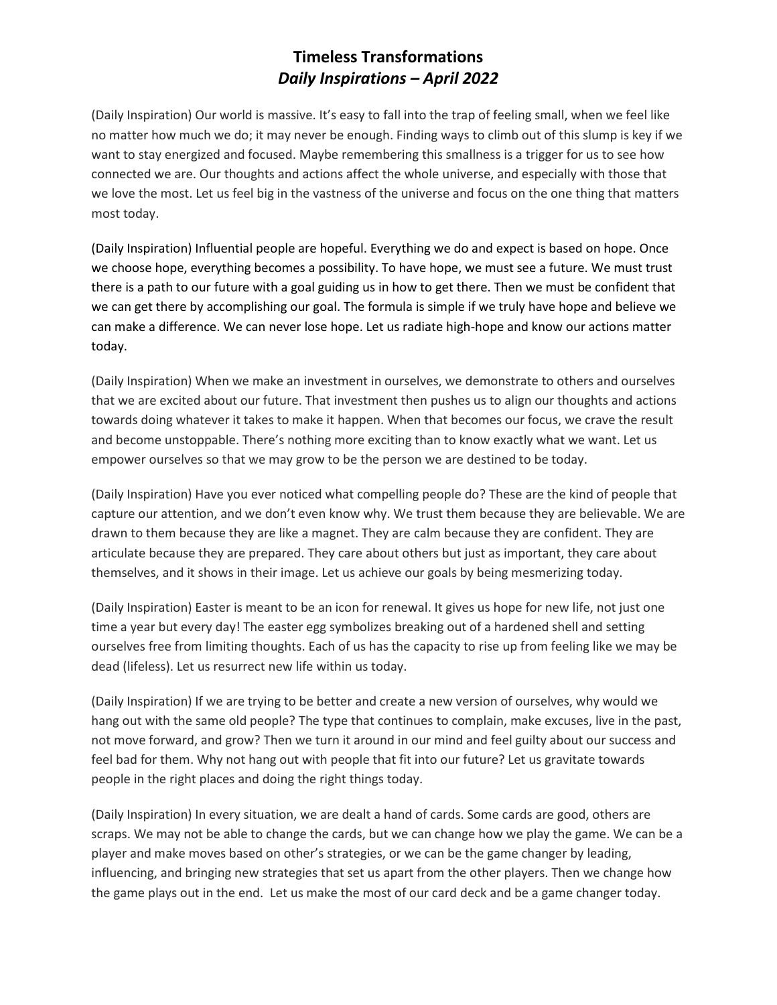## **Timeless Transformations** *Daily Inspirations – April 2022*

(Daily Inspiration) Our world is massive. It's easy to fall into the trap of feeling small, when we feel like no matter how much we do; it may never be enough. Finding ways to climb out of this slump is key if we want to stay energized and focused. Maybe remembering this smallness is a trigger for us to see how connected we are. Our thoughts and actions affect the whole universe, and especially with those that we love the most. Let us feel big in the vastness of the universe and focus on the one thing that matters most today.

(Daily Inspiration) Influential people are hopeful. Everything we do and expect is based on hope. Once we choose hope, everything becomes a possibility. To have hope, we must see a future. We must trust there is a path to our future with a goal guiding us in how to get there. Then we must be confident that we can get there by accomplishing our goal. The formula is simple if we truly have hope and believe we can make a difference. We can never lose hope. Let us radiate high-hope and know our actions matter today.

(Daily Inspiration) When we make an investment in ourselves, we demonstrate to others and ourselves that we are excited about our future. That investment then pushes us to align our thoughts and actions towards doing whatever it takes to make it happen. When that becomes our focus, we crave the result and become unstoppable. There's nothing more exciting than to know exactly what we want. Let us empower ourselves so that we may grow to be the person we are destined to be today.

(Daily Inspiration) Have you ever noticed what compelling people do? These are the kind of people that capture our attention, and we don't even know why. We trust them because they are believable. We are drawn to them because they are like a magnet. They are calm because they are confident. They are articulate because they are prepared. They care about others but just as important, they care about themselves, and it shows in their image. Let us achieve our goals by being mesmerizing today.

(Daily Inspiration) Easter is meant to be an icon for renewal. It gives us hope for new life, not just one time a year but every day! The easter egg symbolizes breaking out of a hardened shell and setting ourselves free from limiting thoughts. Each of us has the capacity to rise up from feeling like we may be dead (lifeless). Let us resurrect new life within us today.

(Daily Inspiration) If we are trying to be better and create a new version of ourselves, why would we hang out with the same old people? The type that continues to complain, make excuses, live in the past, not move forward, and grow? Then we turn it around in our mind and feel guilty about our success and feel bad for them. Why not hang out with people that fit into our future? Let us gravitate towards people in the right places and doing the right things today.

(Daily Inspiration) In every situation, we are dealt a hand of cards. Some cards are good, others are scraps. We may not be able to change the cards, but we can change how we play the game. We can be a player and make moves based on other's strategies, or we can be the game changer by leading, influencing, and bringing new strategies that set us apart from the other players. Then we change how the game plays out in the end. Let us make the most of our card deck and be a game changer today.